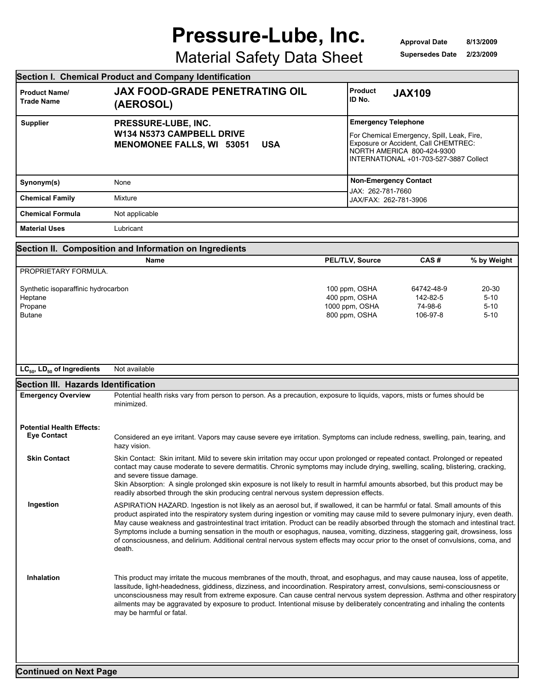## **Pressure-Lube, Inc.**

**Approval Date Supersedes Date 8/13/2009 2/23/2009**

## Material Safety Data Sheet

|                                                                            | Section I. Chemical Product and Company Identification                                                                                                                                                                                                                                                                                                                                                                                                                                                                                                                                                                                                                                    |                                                                   |                                                                                                                                                            |                                           |
|----------------------------------------------------------------------------|-------------------------------------------------------------------------------------------------------------------------------------------------------------------------------------------------------------------------------------------------------------------------------------------------------------------------------------------------------------------------------------------------------------------------------------------------------------------------------------------------------------------------------------------------------------------------------------------------------------------------------------------------------------------------------------------|-------------------------------------------------------------------|------------------------------------------------------------------------------------------------------------------------------------------------------------|-------------------------------------------|
| <b>Product Name/</b><br><b>Trade Name</b>                                  | <b>JAX FOOD-GRADE PENETRATING OIL</b><br>(AEROSOL)                                                                                                                                                                                                                                                                                                                                                                                                                                                                                                                                                                                                                                        | <b>Product</b><br>ID No.                                          | <b>JAX109</b>                                                                                                                                              |                                           |
| <b>Supplier</b>                                                            | PRESSURE-LUBE, INC.<br>W134 N5373 CAMPBELL DRIVE<br><b>MENOMONEE FALLS, WI 53051</b><br><b>USA</b>                                                                                                                                                                                                                                                                                                                                                                                                                                                                                                                                                                                        | <b>Emergency Telephone</b>                                        | For Chemical Emergency, Spill, Leak, Fire,<br>Exposure or Accident, Call CHEMTREC:<br>NORTH AMERICA 800-424-9300<br>INTERNATIONAL +01-703-527-3887 Collect |                                           |
| Synonym(s)                                                                 | None                                                                                                                                                                                                                                                                                                                                                                                                                                                                                                                                                                                                                                                                                      |                                                                   | <b>Non-Emergency Contact</b>                                                                                                                               |                                           |
| <b>Chemical Family</b>                                                     | Mixture                                                                                                                                                                                                                                                                                                                                                                                                                                                                                                                                                                                                                                                                                   | JAX: 262-781-7660<br>JAX/FAX: 262-781-3906                        |                                                                                                                                                            |                                           |
| <b>Chemical Formula</b>                                                    | Not applicable                                                                                                                                                                                                                                                                                                                                                                                                                                                                                                                                                                                                                                                                            |                                                                   |                                                                                                                                                            |                                           |
| <b>Material Uses</b>                                                       | Lubricant                                                                                                                                                                                                                                                                                                                                                                                                                                                                                                                                                                                                                                                                                 |                                                                   |                                                                                                                                                            |                                           |
|                                                                            | Section II. Composition and Information on Ingredients                                                                                                                                                                                                                                                                                                                                                                                                                                                                                                                                                                                                                                    |                                                                   |                                                                                                                                                            |                                           |
|                                                                            | Name                                                                                                                                                                                                                                                                                                                                                                                                                                                                                                                                                                                                                                                                                      | PEL/TLV, Source                                                   | CAS#                                                                                                                                                       | % by Weight                               |
| PROPRIETARY FORMULA.                                                       |                                                                                                                                                                                                                                                                                                                                                                                                                                                                                                                                                                                                                                                                                           |                                                                   |                                                                                                                                                            |                                           |
| Synthetic isoparaffinic hydrocarbon<br>Heptane<br>Propane<br><b>Butane</b> |                                                                                                                                                                                                                                                                                                                                                                                                                                                                                                                                                                                                                                                                                           | 100 ppm, OSHA<br>400 ppm, OSHA<br>1000 ppm, OSHA<br>800 ppm, OSHA | 64742-48-9<br>142-82-5<br>74-98-6<br>106-97-8                                                                                                              | 20-30<br>$5 - 10$<br>$5 - 10$<br>$5 - 10$ |
| $LC_{50}$ , $LD_{50}$ of Ingredients                                       | Not available                                                                                                                                                                                                                                                                                                                                                                                                                                                                                                                                                                                                                                                                             |                                                                   |                                                                                                                                                            |                                           |
| Section III. Hazards Identification                                        |                                                                                                                                                                                                                                                                                                                                                                                                                                                                                                                                                                                                                                                                                           |                                                                   |                                                                                                                                                            |                                           |
| <b>Emergency Overview</b>                                                  | Potential health risks vary from person to person. As a precaution, exposure to liquids, vapors, mists or fumes should be<br>minimized.                                                                                                                                                                                                                                                                                                                                                                                                                                                                                                                                                   |                                                                   |                                                                                                                                                            |                                           |
| <b>Potential Health Effects:</b><br><b>Eye Contact</b>                     | Considered an eye irritant. Vapors may cause severe eye irritation. Symptoms can include redness, swelling, pain, tearing, and<br>hazy vision.                                                                                                                                                                                                                                                                                                                                                                                                                                                                                                                                            |                                                                   |                                                                                                                                                            |                                           |
| <b>Skin Contact</b>                                                        | Skin Contact: Skin irritant. Mild to severe skin irritation may occur upon prolonged or repeated contact. Prolonged or repeated<br>contact may cause moderate to severe dermatitis. Chronic symptoms may include drying, swelling, scaling, blistering, cracking,<br>and severe tissue damage.<br>Skin Absorption: A single prolonged skin exposure is not likely to result in harmful amounts absorbed, but this product may be<br>readily absorbed through the skin producing central nervous system depression effects.                                                                                                                                                                |                                                                   |                                                                                                                                                            |                                           |
| Ingestion                                                                  | ASPIRATION HAZARD. Ingestion is not likely as an aerosol but, if swallowed, it can be harmful or fatal. Small amounts of this<br>product aspirated into the respiratory system during ingestion or vomiting may cause mild to severe pulmonary injury, even death.<br>May cause weakness and gastrointestinal tract irritation. Product can be readily absorbed through the stomach and intestinal tract.<br>Symptoms include a burning sensation in the mouth or esophagus, nausea, vomiting, dizziness, staggering gait, drowsiness, loss<br>of consciousness, and delirium. Additional central nervous system effects may occur prior to the onset of convulsions, coma, and<br>death. |                                                                   |                                                                                                                                                            |                                           |
| Inhalation                                                                 | This product may irritate the mucous membranes of the mouth, throat, and esophagus, and may cause nausea, loss of appetite,<br>lassitude, light-headedness, giddiness, dizziness, and incoordination. Respiratory arrest, convulsions, semi-consciousness or<br>unconsciousness may result from extreme exposure. Can cause central nervous system depression. Asthma and other respiratory<br>ailments may be aggravated by exposure to product. Intentional misuse by deliberately concentrating and inhaling the contents<br>may be harmful or fatal.                                                                                                                                  |                                                                   |                                                                                                                                                            |                                           |
|                                                                            |                                                                                                                                                                                                                                                                                                                                                                                                                                                                                                                                                                                                                                                                                           |                                                                   |                                                                                                                                                            |                                           |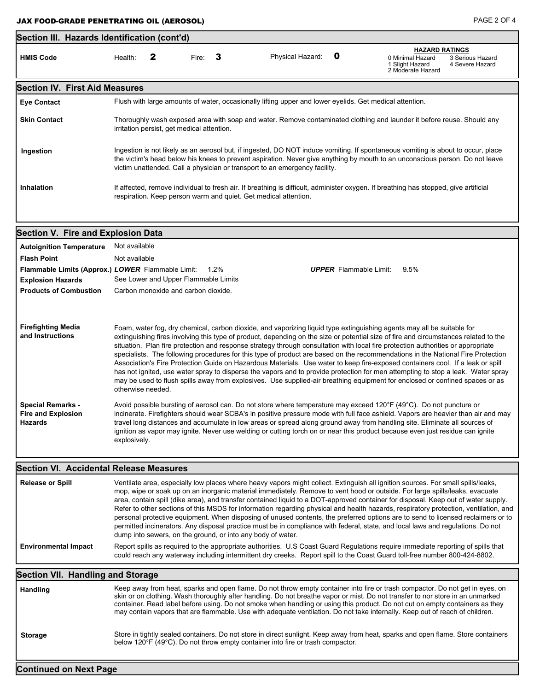| Section III. Hazards Identification (cont'd)                                                                      |                                                                                                                                                                                                                                                                                                                                                                                                                                                                                                                                                                                                                                                                                                                                                                                                                                                                                                                                                                                                                                                                                                                                                                                                                                                                                                                                                                                                                                                                                                            |                                      |       |      |                                                                                                         |   |                                                                                                                                                                                                                                                                                                                                                                                                                                                                                                                                                                                                                                                                                                                                                                                                                      |
|-------------------------------------------------------------------------------------------------------------------|------------------------------------------------------------------------------------------------------------------------------------------------------------------------------------------------------------------------------------------------------------------------------------------------------------------------------------------------------------------------------------------------------------------------------------------------------------------------------------------------------------------------------------------------------------------------------------------------------------------------------------------------------------------------------------------------------------------------------------------------------------------------------------------------------------------------------------------------------------------------------------------------------------------------------------------------------------------------------------------------------------------------------------------------------------------------------------------------------------------------------------------------------------------------------------------------------------------------------------------------------------------------------------------------------------------------------------------------------------------------------------------------------------------------------------------------------------------------------------------------------------|--------------------------------------|-------|------|---------------------------------------------------------------------------------------------------------|---|----------------------------------------------------------------------------------------------------------------------------------------------------------------------------------------------------------------------------------------------------------------------------------------------------------------------------------------------------------------------------------------------------------------------------------------------------------------------------------------------------------------------------------------------------------------------------------------------------------------------------------------------------------------------------------------------------------------------------------------------------------------------------------------------------------------------|
| <b>HMIS Code</b>                                                                                                  | Health:                                                                                                                                                                                                                                                                                                                                                                                                                                                                                                                                                                                                                                                                                                                                                                                                                                                                                                                                                                                                                                                                                                                                                                                                                                                                                                                                                                                                                                                                                                    | 2                                    | Fire: | 3    | Physical Hazard:                                                                                        | 0 | <b>HAZARD RATINGS</b><br>0 Minimal Hazard<br>3 Serious Hazard<br>1 Slight Hazard<br>4 Severe Hazard<br>2 Moderate Hazard                                                                                                                                                                                                                                                                                                                                                                                                                                                                                                                                                                                                                                                                                             |
| <b>Section IV. First Aid Measures</b>                                                                             |                                                                                                                                                                                                                                                                                                                                                                                                                                                                                                                                                                                                                                                                                                                                                                                                                                                                                                                                                                                                                                                                                                                                                                                                                                                                                                                                                                                                                                                                                                            |                                      |       |      |                                                                                                         |   |                                                                                                                                                                                                                                                                                                                                                                                                                                                                                                                                                                                                                                                                                                                                                                                                                      |
| <b>Eye Contact</b>                                                                                                |                                                                                                                                                                                                                                                                                                                                                                                                                                                                                                                                                                                                                                                                                                                                                                                                                                                                                                                                                                                                                                                                                                                                                                                                                                                                                                                                                                                                                                                                                                            |                                      |       |      | Flush with large amounts of water, occasionally lifting upper and lower eyelids. Get medical attention. |   |                                                                                                                                                                                                                                                                                                                                                                                                                                                                                                                                                                                                                                                                                                                                                                                                                      |
| <b>Skin Contact</b>                                                                                               | Thoroughly wash exposed area with soap and water. Remove contaminated clothing and launder it before reuse. Should any<br>irritation persist, get medical attention.                                                                                                                                                                                                                                                                                                                                                                                                                                                                                                                                                                                                                                                                                                                                                                                                                                                                                                                                                                                                                                                                                                                                                                                                                                                                                                                                       |                                      |       |      |                                                                                                         |   |                                                                                                                                                                                                                                                                                                                                                                                                                                                                                                                                                                                                                                                                                                                                                                                                                      |
| Ingestion                                                                                                         | Ingestion is not likely as an aerosol but, if ingested, DO NOT induce vomiting. If spontaneous vomiting is about to occur, place<br>the victim's head below his knees to prevent aspiration. Never give anything by mouth to an unconscious person. Do not leave<br>victim unattended. Call a physician or transport to an emergency facility.                                                                                                                                                                                                                                                                                                                                                                                                                                                                                                                                                                                                                                                                                                                                                                                                                                                                                                                                                                                                                                                                                                                                                             |                                      |       |      |                                                                                                         |   |                                                                                                                                                                                                                                                                                                                                                                                                                                                                                                                                                                                                                                                                                                                                                                                                                      |
| <b>Inhalation</b>                                                                                                 | If affected, remove individual to fresh air. If breathing is difficult, administer oxygen. If breathing has stopped, give artificial<br>respiration. Keep person warm and quiet. Get medical attention.                                                                                                                                                                                                                                                                                                                                                                                                                                                                                                                                                                                                                                                                                                                                                                                                                                                                                                                                                                                                                                                                                                                                                                                                                                                                                                    |                                      |       |      |                                                                                                         |   |                                                                                                                                                                                                                                                                                                                                                                                                                                                                                                                                                                                                                                                                                                                                                                                                                      |
| <b>Section V. Fire and Explosion Data</b>                                                                         |                                                                                                                                                                                                                                                                                                                                                                                                                                                                                                                                                                                                                                                                                                                                                                                                                                                                                                                                                                                                                                                                                                                                                                                                                                                                                                                                                                                                                                                                                                            |                                      |       |      |                                                                                                         |   |                                                                                                                                                                                                                                                                                                                                                                                                                                                                                                                                                                                                                                                                                                                                                                                                                      |
| <b>Autoignition Temperature</b>                                                                                   | Not available                                                                                                                                                                                                                                                                                                                                                                                                                                                                                                                                                                                                                                                                                                                                                                                                                                                                                                                                                                                                                                                                                                                                                                                                                                                                                                                                                                                                                                                                                              |                                      |       |      |                                                                                                         |   |                                                                                                                                                                                                                                                                                                                                                                                                                                                                                                                                                                                                                                                                                                                                                                                                                      |
| <b>Flash Point</b>                                                                                                | Not available                                                                                                                                                                                                                                                                                                                                                                                                                                                                                                                                                                                                                                                                                                                                                                                                                                                                                                                                                                                                                                                                                                                                                                                                                                                                                                                                                                                                                                                                                              |                                      |       |      |                                                                                                         |   |                                                                                                                                                                                                                                                                                                                                                                                                                                                                                                                                                                                                                                                                                                                                                                                                                      |
| Flammable Limits (Approx.) LOWER Flammable Limit:                                                                 |                                                                                                                                                                                                                                                                                                                                                                                                                                                                                                                                                                                                                                                                                                                                                                                                                                                                                                                                                                                                                                                                                                                                                                                                                                                                                                                                                                                                                                                                                                            |                                      |       | 1.2% |                                                                                                         |   | <b>UPPER</b> Flammable Limit:<br>9.5%                                                                                                                                                                                                                                                                                                                                                                                                                                                                                                                                                                                                                                                                                                                                                                                |
| <b>Explosion Hazards</b>                                                                                          |                                                                                                                                                                                                                                                                                                                                                                                                                                                                                                                                                                                                                                                                                                                                                                                                                                                                                                                                                                                                                                                                                                                                                                                                                                                                                                                                                                                                                                                                                                            | See Lower and Upper Flammable Limits |       |      |                                                                                                         |   |                                                                                                                                                                                                                                                                                                                                                                                                                                                                                                                                                                                                                                                                                                                                                                                                                      |
| <b>Products of Combustion</b>                                                                                     |                                                                                                                                                                                                                                                                                                                                                                                                                                                                                                                                                                                                                                                                                                                                                                                                                                                                                                                                                                                                                                                                                                                                                                                                                                                                                                                                                                                                                                                                                                            | Carbon monoxide and carbon dioxide.  |       |      |                                                                                                         |   |                                                                                                                                                                                                                                                                                                                                                                                                                                                                                                                                                                                                                                                                                                                                                                                                                      |
| <b>Firefighting Media</b><br>and Instructions<br><b>Special Remarks -</b><br><b>Fire and Explosion</b><br>Hazards | Foam, water fog, dry chemical, carbon dioxide, and vaporizing liquid type extinguishing agents may all be suitable for<br>extinguishing fires involving this type of product, depending on the size or potential size of fire and circumstances related to the<br>situation. Plan fire protection and response strategy through consultation with local fire protection authorities or appropriate<br>specialists. The following procedures for this type of product are based on the recommendations in the National Fire Protection<br>Association's Fire Protection Guide on Hazardous Materials. Use water to keep fire-exposed containers cool. If a leak or spill<br>has not ignited, use water spray to disperse the vapors and to provide protection for men attempting to stop a leak. Water spray<br>may be used to flush spills away from explosives. Use supplied-air breathing equipment for enclosed or confined spaces or as<br>otherwise needed.<br>Avoid possible bursting of aerosol can. Do not store where temperature may exceed 120°F (49°C). Do not puncture or<br>incinerate. Firefighters should wear SCBA's in positive pressure mode with full face ashield. Vapors are heavier than air and may<br>travel long distances and accumulate in low areas or spread along ground away from handling site. Eliminate all sources of<br>ignition as vapor may ignite. Never use welding or cutting torch on or near this product because even just residue can ignite<br>explosively. |                                      |       |      |                                                                                                         |   |                                                                                                                                                                                                                                                                                                                                                                                                                                                                                                                                                                                                                                                                                                                                                                                                                      |
| Section VI. Accidental Release Measures                                                                           |                                                                                                                                                                                                                                                                                                                                                                                                                                                                                                                                                                                                                                                                                                                                                                                                                                                                                                                                                                                                                                                                                                                                                                                                                                                                                                                                                                                                                                                                                                            |                                      |       |      |                                                                                                         |   |                                                                                                                                                                                                                                                                                                                                                                                                                                                                                                                                                                                                                                                                                                                                                                                                                      |
| <b>Release or Spill</b>                                                                                           |                                                                                                                                                                                                                                                                                                                                                                                                                                                                                                                                                                                                                                                                                                                                                                                                                                                                                                                                                                                                                                                                                                                                                                                                                                                                                                                                                                                                                                                                                                            |                                      |       |      | dump into sewers, on the ground, or into any body of water.                                             |   | Ventilate area, especially low places where heavy vapors might collect. Extinguish all ignition sources. For small spills/leaks,<br>mop, wipe or soak up on an inorganic material immediately. Remove to vent hood or outside. For large spills/leaks, evacuate<br>area, contain spill (dike area), and transfer contained liquid to a DOT-approved container for disposal. Keep out of water supply.<br>Refer to other sections of this MSDS for information regarding physical and health hazards, respiratory protection, ventilation, and<br>personal protective equipment. When disposing of unused contents, the preferred options are to send to licensed reclaimers or to<br>permitted incinerators. Any disposal practice must be in compliance with federal, state, and local laws and regulations. Do not |
| <b>Environmental Impact</b>                                                                                       |                                                                                                                                                                                                                                                                                                                                                                                                                                                                                                                                                                                                                                                                                                                                                                                                                                                                                                                                                                                                                                                                                                                                                                                                                                                                                                                                                                                                                                                                                                            |                                      |       |      |                                                                                                         |   | Report spills as required to the appropriate authorities. U.S Coast Guard Regulations require immediate reporting of spills that<br>could reach any waterway including intermittent dry creeks. Report spill to the Coast Guard toll-free number 800-424-8802.                                                                                                                                                                                                                                                                                                                                                                                                                                                                                                                                                       |
| <b>Section VII. Handling and Storage</b>                                                                          |                                                                                                                                                                                                                                                                                                                                                                                                                                                                                                                                                                                                                                                                                                                                                                                                                                                                                                                                                                                                                                                                                                                                                                                                                                                                                                                                                                                                                                                                                                            |                                      |       |      |                                                                                                         |   |                                                                                                                                                                                                                                                                                                                                                                                                                                                                                                                                                                                                                                                                                                                                                                                                                      |
| Handling                                                                                                          |                                                                                                                                                                                                                                                                                                                                                                                                                                                                                                                                                                                                                                                                                                                                                                                                                                                                                                                                                                                                                                                                                                                                                                                                                                                                                                                                                                                                                                                                                                            |                                      |       |      |                                                                                                         |   | Keep away from heat, sparks and open flame. Do not throw empty container into fire or trash compactor. Do not get in eyes, on<br>skin or on clothing. Wash thoroughly after handling. Do not breathe vapor or mist. Do not transfer to nor store in an unmarked<br>container. Read label before using. Do not smoke when handling or using this product. Do not cut on empty containers as they<br>may contain vapors that are flammable. Use with adequate ventilation. Do not take internally. Keep out of reach of children.                                                                                                                                                                                                                                                                                      |
| <b>Storage</b>                                                                                                    |                                                                                                                                                                                                                                                                                                                                                                                                                                                                                                                                                                                                                                                                                                                                                                                                                                                                                                                                                                                                                                                                                                                                                                                                                                                                                                                                                                                                                                                                                                            |                                      |       |      | below 120°F (49°C). Do not throw empty container into fire or trash compactor.                          |   | Store in tightly sealed containers. Do not store in direct sunlight. Keep away from heat, sparks and open flame. Store containers                                                                                                                                                                                                                                                                                                                                                                                                                                                                                                                                                                                                                                                                                    |
| <b>Continued on Next Page</b>                                                                                     |                                                                                                                                                                                                                                                                                                                                                                                                                                                                                                                                                                                                                                                                                                                                                                                                                                                                                                                                                                                                                                                                                                                                                                                                                                                                                                                                                                                                                                                                                                            |                                      |       |      |                                                                                                         |   |                                                                                                                                                                                                                                                                                                                                                                                                                                                                                                                                                                                                                                                                                                                                                                                                                      |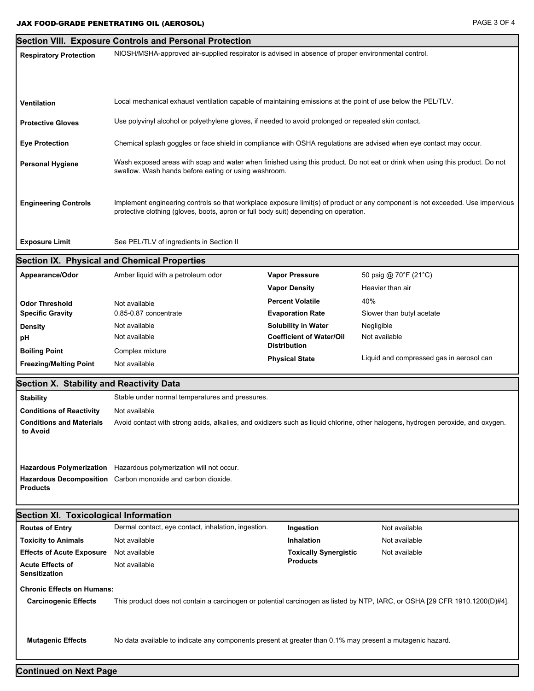$\overline{\phantom{a}}$ 

|                                                                                                                                                            | <b>Section VIII. Exposure Controls and Personal Protection</b>                                                                                                                       |                                 |                                                                                                                                |  |  |  |
|------------------------------------------------------------------------------------------------------------------------------------------------------------|--------------------------------------------------------------------------------------------------------------------------------------------------------------------------------------|---------------------------------|--------------------------------------------------------------------------------------------------------------------------------|--|--|--|
| <b>Respiratory Protection</b>                                                                                                                              | NIOSH/MSHA-approved air-supplied respirator is advised in absence of proper environmental control.                                                                                   |                                 |                                                                                                                                |  |  |  |
|                                                                                                                                                            |                                                                                                                                                                                      |                                 |                                                                                                                                |  |  |  |
|                                                                                                                                                            |                                                                                                                                                                                      |                                 |                                                                                                                                |  |  |  |
|                                                                                                                                                            |                                                                                                                                                                                      |                                 |                                                                                                                                |  |  |  |
| Ventilation                                                                                                                                                | Local mechanical exhaust ventilation capable of maintaining emissions at the point of use below the PEL/TLV.                                                                         |                                 |                                                                                                                                |  |  |  |
| <b>Protective Gloves</b>                                                                                                                                   | Use polyvinyl alcohol or polyethylene gloves, if needed to avoid prolonged or repeated skin contact.                                                                                 |                                 |                                                                                                                                |  |  |  |
|                                                                                                                                                            |                                                                                                                                                                                      |                                 |                                                                                                                                |  |  |  |
| <b>Eye Protection</b>                                                                                                                                      | Chemical splash goggles or face shield in compliance with OSHA regulations are advised when eye contact may occur.                                                                   |                                 |                                                                                                                                |  |  |  |
|                                                                                                                                                            |                                                                                                                                                                                      |                                 |                                                                                                                                |  |  |  |
| <b>Personal Hygiene</b>                                                                                                                                    | Wash exposed areas with soap and water when finished using this product. Do not eat or drink when using this product. Do not<br>swallow. Wash hands before eating or using washroom. |                                 |                                                                                                                                |  |  |  |
|                                                                                                                                                            |                                                                                                                                                                                      |                                 |                                                                                                                                |  |  |  |
|                                                                                                                                                            |                                                                                                                                                                                      |                                 |                                                                                                                                |  |  |  |
| <b>Engineering Controls</b>                                                                                                                                | protective clothing (gloves, boots, apron or full body suit) depending on operation.                                                                                                 |                                 | Implement engineering controls so that workplace exposure limit(s) of product or any component is not exceeded. Use impervious |  |  |  |
|                                                                                                                                                            |                                                                                                                                                                                      |                                 |                                                                                                                                |  |  |  |
|                                                                                                                                                            |                                                                                                                                                                                      |                                 |                                                                                                                                |  |  |  |
| <b>Exposure Limit</b>                                                                                                                                      | See PEL/TLV of ingredients in Section II                                                                                                                                             |                                 |                                                                                                                                |  |  |  |
|                                                                                                                                                            | <b>Section IX. Physical and Chemical Properties</b>                                                                                                                                  |                                 |                                                                                                                                |  |  |  |
| Appearance/Odor                                                                                                                                            | Amber liquid with a petroleum odor                                                                                                                                                   | <b>Vapor Pressure</b>           | 50 psig @ 70°F (21°C)                                                                                                          |  |  |  |
|                                                                                                                                                            |                                                                                                                                                                                      | <b>Vapor Density</b>            | Heavier than air                                                                                                               |  |  |  |
| <b>Odor Threshold</b>                                                                                                                                      | Not available                                                                                                                                                                        | <b>Percent Volatile</b>         | 40%                                                                                                                            |  |  |  |
| <b>Specific Gravity</b>                                                                                                                                    | 0.85-0.87 concentrate                                                                                                                                                                | <b>Evaporation Rate</b>         | Slower than butyl acetate                                                                                                      |  |  |  |
| <b>Density</b>                                                                                                                                             | Not available                                                                                                                                                                        | Solubility in Water             | Negligible                                                                                                                     |  |  |  |
| pH                                                                                                                                                         | Not available                                                                                                                                                                        | <b>Coefficient of Water/Oil</b> | Not available                                                                                                                  |  |  |  |
| <b>Boiling Point</b>                                                                                                                                       | Complex mixture                                                                                                                                                                      | <b>Distribution</b>             |                                                                                                                                |  |  |  |
| <b>Freezing/Melting Point</b>                                                                                                                              | Not available                                                                                                                                                                        | <b>Physical State</b>           | Liquid and compressed gas in aerosol can                                                                                       |  |  |  |
|                                                                                                                                                            |                                                                                                                                                                                      |                                 |                                                                                                                                |  |  |  |
| <b>Section X. Stability and Reactivity Data</b>                                                                                                            |                                                                                                                                                                                      |                                 |                                                                                                                                |  |  |  |
| <b>Stability</b>                                                                                                                                           | Stable under normal temperatures and pressures.                                                                                                                                      |                                 |                                                                                                                                |  |  |  |
| <b>Conditions of Reactivity</b>                                                                                                                            | Not available                                                                                                                                                                        |                                 |                                                                                                                                |  |  |  |
| <b>Conditions and Materials</b><br>to Avoid                                                                                                                | Avoid contact with strong acids, alkalies, and oxidizers such as liquid chlorine, other halogens, hydrogen peroxide, and oxygen.                                                     |                                 |                                                                                                                                |  |  |  |
|                                                                                                                                                            |                                                                                                                                                                                      |                                 |                                                                                                                                |  |  |  |
|                                                                                                                                                            |                                                                                                                                                                                      |                                 |                                                                                                                                |  |  |  |
|                                                                                                                                                            | Hazardous Polymerization Hazardous polymerization will not occur.                                                                                                                    |                                 |                                                                                                                                |  |  |  |
|                                                                                                                                                            | Hazardous Decomposition Carbon monoxide and carbon dioxide.                                                                                                                          |                                 |                                                                                                                                |  |  |  |
| <b>Products</b>                                                                                                                                            |                                                                                                                                                                                      |                                 |                                                                                                                                |  |  |  |
|                                                                                                                                                            |                                                                                                                                                                                      |                                 |                                                                                                                                |  |  |  |
| Section XI. Toxicological Information                                                                                                                      |                                                                                                                                                                                      |                                 |                                                                                                                                |  |  |  |
| <b>Routes of Entry</b>                                                                                                                                     | Dermal contact, eye contact, inhalation, ingestion.                                                                                                                                  | Ingestion                       | Not available                                                                                                                  |  |  |  |
| <b>Toxicity to Animals</b>                                                                                                                                 | Not available                                                                                                                                                                        | Inhalation                      | Not available                                                                                                                  |  |  |  |
| <b>Effects of Acute Exposure</b>                                                                                                                           | Not available                                                                                                                                                                        | <b>Toxically Synergistic</b>    | Not available                                                                                                                  |  |  |  |
| <b>Acute Effects of</b><br><b>Sensitization</b>                                                                                                            | Not available                                                                                                                                                                        | <b>Products</b>                 |                                                                                                                                |  |  |  |
| <b>Chronic Effects on Humans:</b>                                                                                                                          |                                                                                                                                                                                      |                                 |                                                                                                                                |  |  |  |
| This product does not contain a carcinogen or potential carcinogen as listed by NTP, IARC, or OSHA [29 CFR 1910.1200(D)#4].<br><b>Carcinogenic Effects</b> |                                                                                                                                                                                      |                                 |                                                                                                                                |  |  |  |
|                                                                                                                                                            |                                                                                                                                                                                      |                                 |                                                                                                                                |  |  |  |
|                                                                                                                                                            |                                                                                                                                                                                      |                                 |                                                                                                                                |  |  |  |
| <b>Mutagenic Effects</b>                                                                                                                                   | No data available to indicate any components present at greater than 0.1% may present a mutagenic hazard.                                                                            |                                 |                                                                                                                                |  |  |  |
|                                                                                                                                                            |                                                                                                                                                                                      |                                 |                                                                                                                                |  |  |  |
|                                                                                                                                                            |                                                                                                                                                                                      |                                 |                                                                                                                                |  |  |  |